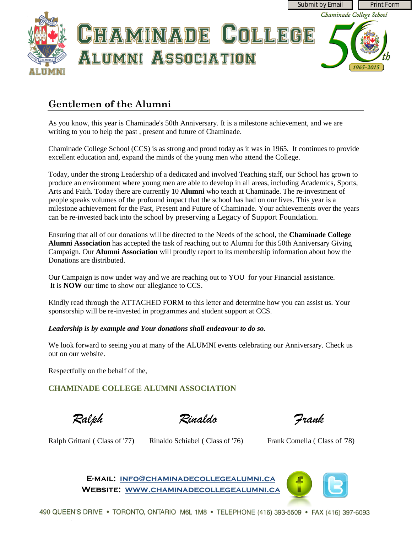

# **Gentlemen of the Alumni**

As you know, this year is Chaminade's 50th Anniversary. It is a milestone achievement, and we are writing to you to help the past , present and future of Chaminade.

Chaminade College School (CCS) is as strong and proud today as it was in 1965. It continues to provide excellent education and, expand the minds of the young men who attend the College.

Today, under the strong Leadership of a dedicated and involved Teaching staff, our School has grown to produce an environment where young men are able to develop in all areas, including Academics, Sports, Arts and Faith. Today there are currently 10 **Alumni** who teach at Chaminade. The re-investment of people speaks volumes of the profound impact that the school has had on our lives. This year is a milestone achievement for the Past, Present and Future of Chaminade. Your achievements over the years can be re-invested back into the school by preserving a Legacy of Support Foundation.

Ensuring that all of our donations will be directed to the Needs of the school, the **Chaminade College Alumni Association** has accepted the task of reaching out to Alumni for this 50th Anniversary Giving Campaign. Our **Alumni Association** will proudly report to its membership information about how the Donations are distributed.

Our Campaign is now under way and we are reaching out to YOU for your Financial assistance. It is **NOW** our time to show our allegiance to CCS.

Kindly read through the ATTACHED FORM to this letter and determine how you can assist us. Your sponsorship will be re-invested in programmes and student support at CCS.

#### *Leadership is by example and Your donations shall endeavour to do so.*

We look forward to seeing you at many of the ALUMNI events celebrating our Anniversary. Check us out on our website.

Respectfully on the behalf of the,

## **CHAMINADE COLLEGE ALUMNI ASSOCIATION**

 *Ralph Rinaldo Frank*

Ralph Grittani ( Class of '77) Rinaldo Schiabel ( Class of '76) Frank Comella ( Class of '78)

**E-mail: [info@chaminadecollegealumni.ca](mailto:info@chaminadecollegealumni.ca) Website: [www.chaminadecollegealumni.ca](http://www.chaminadecollegealumni.ca/)**